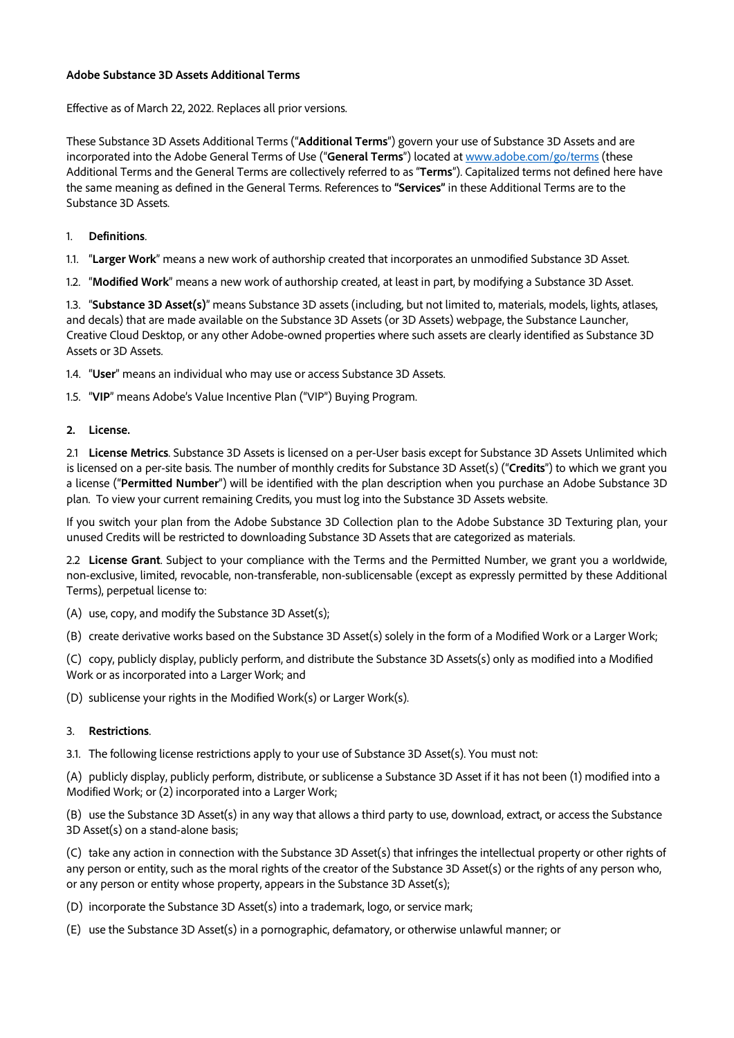## **Adobe Substance 3D Assets Additional Terms**

Effective as of March 22, 2022. Replaces all prior versions.

These Substance 3D Assets Additional Terms ("**Additional Terms**") govern your use of Substance 3D Assets and are incorporated into the Adobe General Terms of Use ("**General Terms**") located at [www.adobe.com/go/terms](http://www.adobe.com/go/terms) (these Additional Terms and the General Terms are collectively referred to as "**Terms**"). Capitalized terms not defined here have the same meaning as defined in the General Terms. References to **"Services"** in these Additional Terms are to the Substance 3D Assets.

## 1. **Definitions**.

1.1. "**Larger Work**" means a new work of authorship created that incorporates an unmodified Substance 3D Asset.

1.2. "**Modified Work**" means a new work of authorship created, at least in part, by modifying a Substance 3D Asset.

1.3. "**Substance 3D Asset(s)**" means Substance 3D assets (including, but not limited to, materials, models, lights, atlases, and decals) that are made available on the Substance 3D Assets (or 3D Assets) webpage, the Substance Launcher, Creative Cloud Desktop, or any other Adobe-owned properties where such assets are clearly identified as Substance 3D Assets or 3D Assets.

1.4. "**User**" means an individual who may use or access Substance 3D Assets.

1.5. "**VIP**" means Adobe's Value Incentive Plan ("VIP") Buying Program.

## **2. License.**

2.1 **License Metrics**. Substance 3D Assets is licensed on a per-User basis except for Substance 3D Assets Unlimited which is licensed on a per-site basis. The number of monthly credits for Substance 3D Asset(s) ("**Credits**") to which we grant you a license ("**Permitted Number**") will be identified with the plan description when you purchase an Adobe Substance 3D plan. To view your current remaining Credits, you must log into the Substance 3D Assets website.

If you switch your plan from the Adobe Substance 3D Collection plan to the Adobe Substance 3D Texturing plan, your unused Credits will be restricted to downloading Substance 3D Assets that are categorized as materials.

2.2 **License Grant**. Subject to your compliance with the Terms and the Permitted Number, we grant you a worldwide, non-exclusive, limited, revocable, non-transferable, non-sublicensable (except as expressly permitted by these Additional Terms), perpetual license to:

(A) use, copy, and modify the Substance 3D Asset(s);

(B) create derivative works based on the Substance 3D Asset(s) solely in the form of a Modified Work or a Larger Work;

(C) copy, publicly display, publicly perform, and distribute the Substance 3D Assets(s) only as modified into a Modified Work or as incorporated into a Larger Work; and

(D) sublicense your rights in the Modified Work(s) or Larger Work(s).

## 3. **Restrictions**.

3.1. The following license restrictions apply to your use of Substance 3D Asset(s). You must not:

(A) publicly display, publicly perform, distribute, or sublicense a Substance 3D Asset if it has not been (1) modified into a Modified Work; or (2) incorporated into a Larger Work;

(B) use the Substance 3D Asset(s) in any way that allows a third party to use, download, extract, or access the Substance 3D Asset(s) on a stand-alone basis;

(C) take any action in connection with the Substance 3D Asset(s) that infringes the intellectual property or other rights of any person or entity, such as the moral rights of the creator of the Substance 3D Asset(s) or the rights of any person who, or any person or entity whose property, appears in the Substance 3D Asset(s);

(D) incorporate the Substance 3D Asset(s) into a trademark, logo, or service mark;

(E) use the Substance 3D Asset(s) in a pornographic, defamatory, or otherwise unlawful manner; or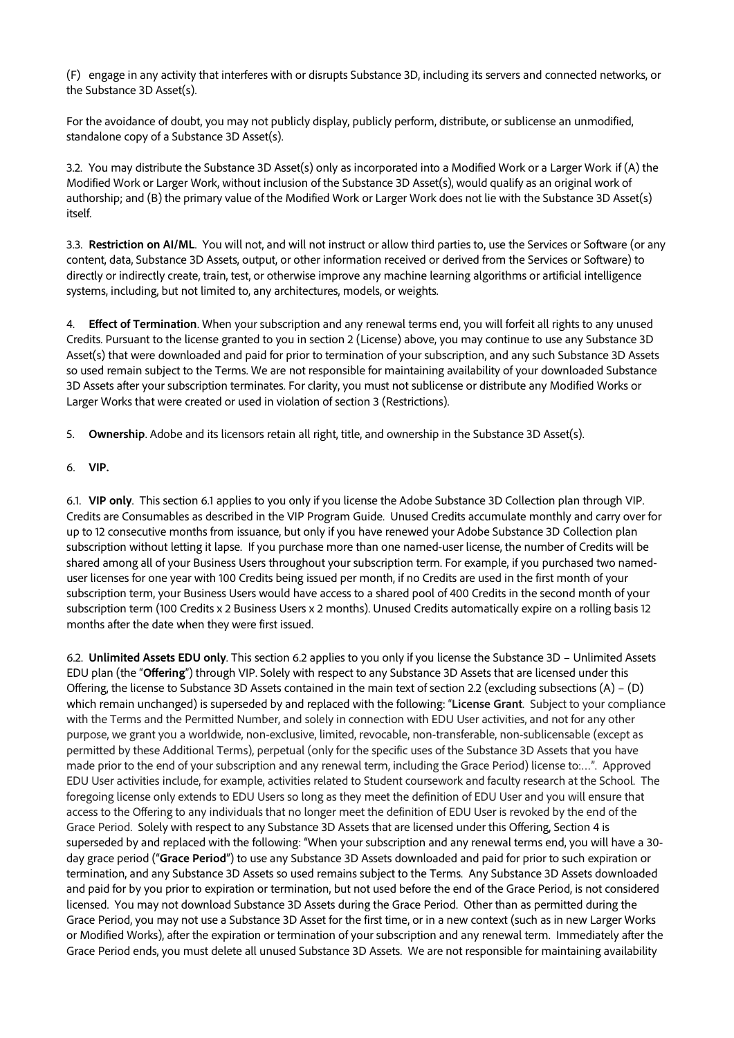(F) engage in any activity that interferes with or disrupts Substance 3D, including its servers and connected networks, or the Substance 3D Asset(s).

For the avoidance of doubt, you may not publicly display, publicly perform, distribute, or sublicense an unmodified, standalone copy of a Substance 3D Asset(s).

3.2. You may distribute the Substance 3D Asset(s) only as incorporated into a Modified Work or a Larger Work if (A) the Modified Work or Larger Work, without inclusion of the Substance 3D Asset(s), would qualify as an original work of authorship; and (B) the primary value of the Modified Work or Larger Work does not lie with the Substance 3D Asset(s) itself.

3.3. **Restriction on AI/ML**. You will not, and will not instruct or allow third parties to, use the Services or Software (or any content, data, Substance 3D Assets, output, or other information received or derived from the Services or Software) to directly or indirectly create, train, test, or otherwise improve any machine learning algorithms or artificial intelligence systems, including, but not limited to, any architectures, models, or weights.

4. **Effect of Termination**. When your subscription and any renewal terms end, you will forfeit all rights to any unused Credits. Pursuant to the license granted to you in section 2 (License) above, you may continue to use any Substance 3D Asset(s) that were downloaded and paid for prior to termination of your subscription, and any such Substance 3D Assets so used remain subject to the Terms. We are not responsible for maintaining availability of your downloaded Substance 3D Assets after your subscription terminates. For clarity, you must not sublicense or distribute any Modified Works or Larger Works that were created or used in violation of section 3 (Restrictions).

5. **Ownership**. Adobe and its licensors retain all right, title, and ownership in the Substance 3D Asset(s).

6. **VIP.** 

6.1. **VIP only**. This section 6.1 applies to you only if you license the Adobe Substance 3D Collection plan through VIP. Credits are Consumables as described in the VIP Program Guide. Unused Credits accumulate monthly and carry over for up to 12 consecutive months from issuance, but only if you have renewed your Adobe Substance 3D Collection plan subscription without letting it lapse. If you purchase more than one named-user license, the number of Credits will be shared among all of your Business Users throughout your subscription term. For example, if you purchased two nameduser licenses for one year with 100 Credits being issued per month, if no Credits are used in the first month of your subscription term, your Business Users would have access to a shared pool of 400 Credits in the second month of your subscription term (100 Credits x 2 Business Users x 2 months). Unused Credits automatically expire on a rolling basis 12 months after the date when they were first issued.

6.2. **Unlimited Assets EDU only**. This section 6.2 applies to you only if you license the Substance 3D – Unlimited Assets EDU plan (the "**Offering**") through VIP. Solely with respect to any Substance 3D Assets that are licensed under this Offering, the license to Substance 3D Assets contained in the main text of section 2.2 (excluding subsections (A) – (D) which remain unchanged) is superseded by and replaced with the following: "**License Grant**. Subject to your compliance with the Terms and the Permitted Number, and solely in connection with EDU User activities, and not for any other purpose, we grant you a worldwide, non-exclusive, limited, revocable, non-transferable, non-sublicensable (except as permitted by these Additional Terms), perpetual (only for the specific uses of the Substance 3D Assets that you have made prior to the end of your subscription and any renewal term, including the Grace Period) license to:…". Approved EDU User activities include, for example, activities related to Student coursework and faculty research at the School. The foregoing license only extends to EDU Users so long as they meet the definition of EDU User and you will ensure that access to the Offering to any individuals that no longer meet the definition of EDU User is revoked by the end of the Grace Period. Solely with respect to any Substance 3D Assets that are licensed under this Offering, Section 4 is superseded by and replaced with the following: "When your subscription and any renewal terms end, you will have a 30 day grace period ("**Grace Period**") to use any Substance 3D Assets downloaded and paid for prior to such expiration or termination, and any Substance 3D Assets so used remains subject to the Terms. Any Substance 3D Assets downloaded and paid for by you prior to expiration or termination, but not used before the end of the Grace Period, is not considered licensed. You may not download Substance 3D Assets during the Grace Period. Other than as permitted during the Grace Period, you may not use a Substance 3D Asset for the first time, or in a new context (such as in new Larger Works or Modified Works), after the expiration or termination of your subscription and any renewal term. Immediately after the Grace Period ends, you must delete all unused Substance 3D Assets. We are not responsible for maintaining availability